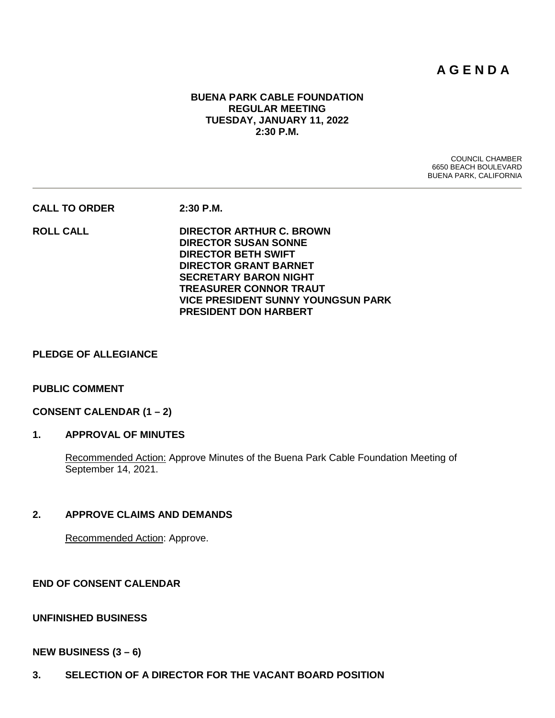# **A G E N D A**

## **BUENA PARK CABLE FOUNDATION REGULAR MEETING TUESDAY, JANUARY 11, 2022 2:30 P.M.**

COUNCIL CHAMBER 6650 BEACH BOULEVARD BUENA PARK, CALIFORNIA

**CALL TO ORDER 2:30 P.M.**

**ROLL CALL DIRECTOR ARTHUR C. BROWN DIRECTOR SUSAN SONNE DIRECTOR BETH SWIFT DIRECTOR GRANT BARNET SECRETARY BARON NIGHT TREASURER CONNOR TRAUT VICE PRESIDENT SUNNY YOUNGSUN PARK PRESIDENT DON HARBERT**

#### **PLEDGE OF ALLEGIANCE**

## **PUBLIC COMMENT**

#### **CONSENT CALENDAR (1 – 2)**

# **1. APPROVAL OF MINUTES**

Recommended Action: Approve Minutes of the Buena Park Cable Foundation Meeting of September 14, 2021.

#### **2. APPROVE CLAIMS AND DEMANDS**

Recommended Action: Approve.

**END OF CONSENT CALENDAR**

#### **UNFINISHED BUSINESS**

#### **NEW BUSINESS (3 – 6)**

**3. SELECTION OF A DIRECTOR FOR THE VACANT BOARD POSITION**